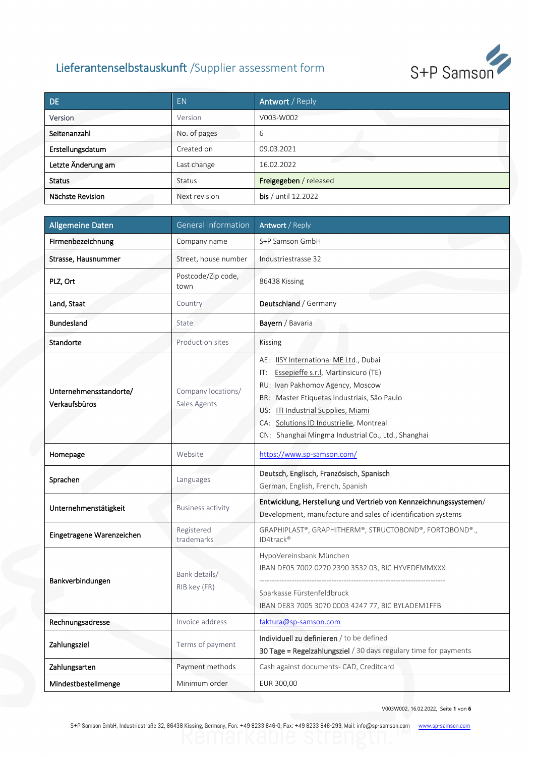

| DE.                | <b>EN</b>     | Antwort / Reply        |
|--------------------|---------------|------------------------|
| Version            | Version       | V003-W002              |
| Seitenanzahl       | No. of pages  | 6                      |
| Erstellungsdatum   | Created on    | 09.03.2021             |
| Letzte Änderung am | Last change   | 16.02.2022             |
| <b>Status</b>      | Status        | Freigegeben / released |
| Nächste Revision   | Next revision | bis / until 12.2022    |

| <b>Allgemeine Daten</b>                 | General information                | Antwort / Reply                                                                                                                                                                                                                                                                                              |  |  |
|-----------------------------------------|------------------------------------|--------------------------------------------------------------------------------------------------------------------------------------------------------------------------------------------------------------------------------------------------------------------------------------------------------------|--|--|
| Firmenbezeichnung                       | Company name                       | S+P Samson GmbH                                                                                                                                                                                                                                                                                              |  |  |
| Strasse, Hausnummer                     | Street, house number               | Industriestrasse 32                                                                                                                                                                                                                                                                                          |  |  |
| PLZ, Ort                                | Postcode/Zip code,<br>town         | 86438 Kissing                                                                                                                                                                                                                                                                                                |  |  |
| Land, Staat                             | Country                            | Deutschland / Germany                                                                                                                                                                                                                                                                                        |  |  |
| <b>Bundesland</b>                       | State                              | Bayern / Bavaria                                                                                                                                                                                                                                                                                             |  |  |
| Standorte                               | Production sites                   | Kissing                                                                                                                                                                                                                                                                                                      |  |  |
| Unternehmensstandorte/<br>Verkaufsbüros | Company locations/<br>Sales Agents | AE: ISY International ME Ltd., Dubai<br>Essepieffe s.r.l, Martinsicuro (TE)<br>IT:<br>RU: Ivan Pakhomov Agency, Moscow<br>BR: Master Etiquetas Industriais, São Paulo<br>US: ITI Industrial Supplies, Miami<br>CA: Solutions ID Industrielle, Montreal<br>CN: Shanghai Mingma Industrial Co., Ltd., Shanghai |  |  |
| Homepage                                | Website                            | https://www.sp-samson.com/                                                                                                                                                                                                                                                                                   |  |  |
| Sprachen                                | Languages                          | Deutsch, Englisch, Französisch, Spanisch<br>German, English, French, Spanish                                                                                                                                                                                                                                 |  |  |
| Unternehmenstätigkeit                   | <b>Business activity</b>           | Entwicklung, Herstellung und Vertrieb von Kennzeichnungssystemen/<br>Development, manufacture and sales of identification systems                                                                                                                                                                            |  |  |
| Eingetragene Warenzeichen               | Registered<br>trademarks           | GRAPHIPLAST®, GRAPHITHERM®, STRUCTOBOND®, FORTOBOND®.,<br>ID4track®                                                                                                                                                                                                                                          |  |  |
| Bankverbindungen                        | Bank details/<br>RIB key (FR)      | HypoVereinsbank München<br>IBAN DE05 7002 0270 2390 3532 03, BIC HYVEDEMMXXX<br>Sparkasse Fürstenfeldbruck<br>IBAN DE83 7005 3070 0003 4247 77, BIC BYLADEM1FFB                                                                                                                                              |  |  |
| Rechnungsadresse                        | Invoice address                    | faktura@sp-samson.com                                                                                                                                                                                                                                                                                        |  |  |
| Zahlungsziel                            | Terms of payment                   | Individuell zu definieren / to be defined<br>30 Tage = Regelzahlungsziel / 30 days regulary time for payments                                                                                                                                                                                                |  |  |
| Zahlungsarten                           | Payment methods                    | Cash against documents- CAD, Creditcard                                                                                                                                                                                                                                                                      |  |  |
| Mindestbestellmenge                     | Minimum order                      | EUR 300,00                                                                                                                                                                                                                                                                                                   |  |  |

V003W002, 16.02.2022, Seite **1** von **6**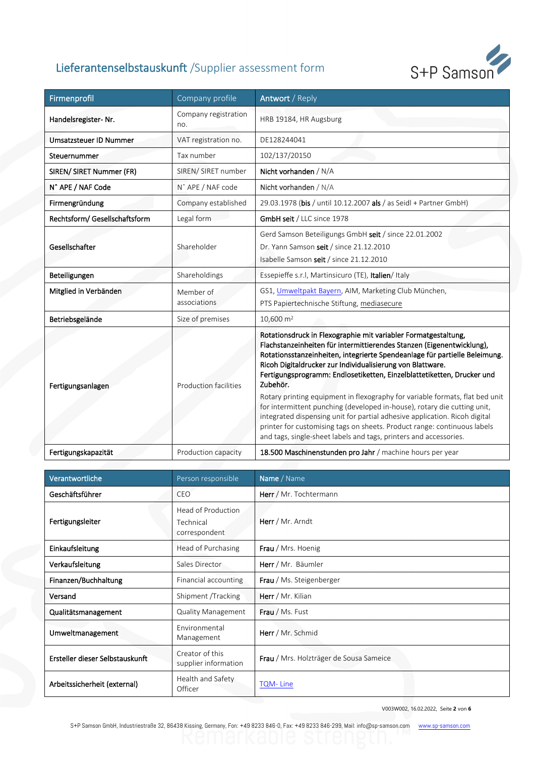

| Firmenprofil                  | Company profile               | Antwort / Reply                                                                                                                                                                                                                                                                                                                                                                                                                                                                                                                                                                                                                                                                                                                                                      |  |  |
|-------------------------------|-------------------------------|----------------------------------------------------------------------------------------------------------------------------------------------------------------------------------------------------------------------------------------------------------------------------------------------------------------------------------------------------------------------------------------------------------------------------------------------------------------------------------------------------------------------------------------------------------------------------------------------------------------------------------------------------------------------------------------------------------------------------------------------------------------------|--|--|
| Handelsregister-Nr.           | Company registration<br>no.   | HRB 19184, HR Augsburg                                                                                                                                                                                                                                                                                                                                                                                                                                                                                                                                                                                                                                                                                                                                               |  |  |
| <b>Umsatzsteuer ID Nummer</b> | VAT registration no.          | DE128244041                                                                                                                                                                                                                                                                                                                                                                                                                                                                                                                                                                                                                                                                                                                                                          |  |  |
| Steuernummer                  | Tax number                    | 102/137/20150                                                                                                                                                                                                                                                                                                                                                                                                                                                                                                                                                                                                                                                                                                                                                        |  |  |
| SIREN/ SIRET Nummer (FR)      | SIREN/ SIRET number           | Nicht vorhanden / N/A                                                                                                                                                                                                                                                                                                                                                                                                                                                                                                                                                                                                                                                                                                                                                |  |  |
| N^ APE / NAF Code             | N <sup>^</sup> APE / NAF code | Nicht vorhanden / N/A                                                                                                                                                                                                                                                                                                                                                                                                                                                                                                                                                                                                                                                                                                                                                |  |  |
| Firmengründung                | Company established           | 29.03.1978 (bis / until 10.12.2007 als / as Seidl + Partner GmbH)                                                                                                                                                                                                                                                                                                                                                                                                                                                                                                                                                                                                                                                                                                    |  |  |
| Rechtsform/ Gesellschaftsform | Legal form                    | GmbH seit / LLC since 1978                                                                                                                                                                                                                                                                                                                                                                                                                                                                                                                                                                                                                                                                                                                                           |  |  |
| Gesellschafter                | Shareholder                   | Gerd Samson Beteiligungs GmbH seit / since 22.01.2002<br>Dr. Yann Samson seit / since 21.12.2010<br>Isabelle Samson seit / since 21.12.2010                                                                                                                                                                                                                                                                                                                                                                                                                                                                                                                                                                                                                          |  |  |
| Beteiligungen                 | Shareholdings                 | Essepieffe s.r.l, Martinsicuro (TE), Italien/Italy                                                                                                                                                                                                                                                                                                                                                                                                                                                                                                                                                                                                                                                                                                                   |  |  |
| Mitglied in Verbänden         | Member of<br>associations     | GS1, Umweltpakt Bayern, AIM, Marketing Club München,<br>PTS Papiertechnische Stiftung, mediasecure                                                                                                                                                                                                                                                                                                                                                                                                                                                                                                                                                                                                                                                                   |  |  |
| Betriebsgelände               | Size of premises              | $10,600 \text{ m}^2$                                                                                                                                                                                                                                                                                                                                                                                                                                                                                                                                                                                                                                                                                                                                                 |  |  |
| Fertigungsanlagen             | <b>Production facilities</b>  | Rotationsdruck in Flexographie mit variabler Formatgestaltung,<br>Flachstanzeinheiten für intermittierendes Stanzen (Eigenentwicklung),<br>Rotationsstanzeinheiten, integrierte Spendeanlage für partielle Beleimung.<br>Ricoh Digitaldrucker zur Individualisierung von Blattware.<br>Fertigungsprogramm: Endlosetiketten, Einzelblattetiketten, Drucker und<br>Zubehör.<br>Rotary printing equipment in flexography for variable formats, flat bed unit<br>for intermittent punching (developed in-house), rotary die cutting unit,<br>integrated dispensing unit for partial adhesive application. Ricoh digital<br>printer for customising tags on sheets. Product range: continuous labels<br>and tags, single-sheet labels and tags, printers and accessories. |  |  |
| Fertigungskapazität           | Production capacity           | 18.500 Maschinenstunden pro Jahr / machine hours per year                                                                                                                                                                                                                                                                                                                                                                                                                                                                                                                                                                                                                                                                                                            |  |  |

| Verantwortliche                 | Person responsible                               | Name / Name                             |
|---------------------------------|--------------------------------------------------|-----------------------------------------|
| Geschäftsführer                 | CEO                                              | Herr / Mr. Tochtermann                  |
| Fertigungsleiter                | Head of Production<br>Technical<br>correspondent | Herr / Mr. Arndt                        |
| Einkaufsleitung                 | Head of Purchasing                               | Frau / Mrs. Hoenig                      |
| Verkaufsleitung                 | Sales Director                                   | Herr / Mr. Bäumler                      |
| Finanzen/Buchhaltung            | Financial accounting                             | Frau / Ms. Steigenberger                |
| Versand                         | Shipment /Tracking                               | Herr / Mr. Kilian                       |
| Qualitätsmanagement             | <b>Quality Management</b>                        | <b>Frau</b> / Ms. Fust                  |
| Umweltmanagement                | Environmental<br>Management                      | Herr / Mr. Schmid                       |
| Ersteller dieser Selbstauskunft | Creator of this<br>supplier information          | Frau / Mrs. Holzträger de Sousa Sameice |
| Arbeitssicherheit (external)    | Health and Safety<br>Officer                     | <b>TQM-Line</b>                         |

V003W002, 16.02.2022, Seite **2** von **6**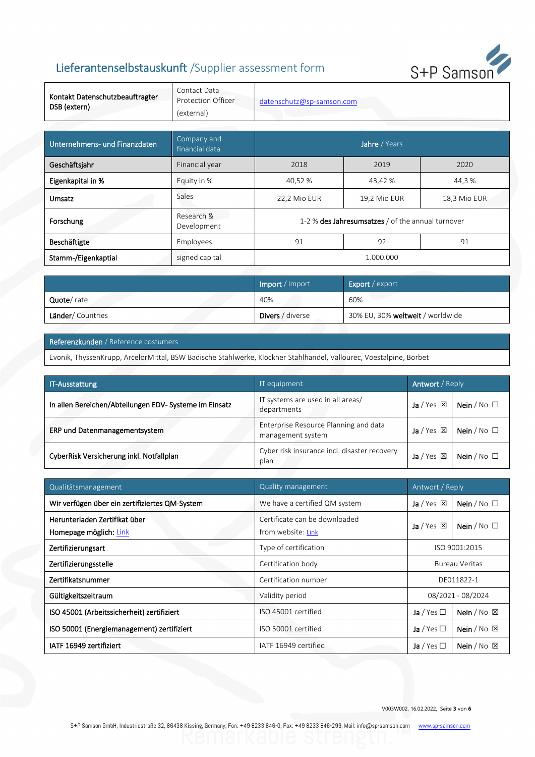

| Kontakt Datenschutzbeauftragter<br>DSB (extern) | Contact Data<br>Protection Officer<br>(external) | datenschutz@sp-samson.com                         |    |    |  |
|-------------------------------------------------|--------------------------------------------------|---------------------------------------------------|----|----|--|
|                                                 |                                                  |                                                   |    |    |  |
| Unternehmens- und Finanzdaten                   | Company and<br>financial data                    | Jahre / Years                                     |    |    |  |
| Geschäftsjahr                                   | Financial year                                   | 2018<br>2019<br>2020                              |    |    |  |
| Eigenkapital in %                               | Equity in %                                      | 40,52 %<br>43,42 %<br>44,3 %                      |    |    |  |
| Umsatz                                          | Sales                                            | 18,3 Mio EUR<br>22,2 Mio EUR<br>19,2 Mio EUR      |    |    |  |
| Forschung                                       | Research &<br>Development                        | 1-2 % des Jahresumsatzes / of the annual turnover |    |    |  |
| Beschäftigte                                    | Employees                                        | 91                                                | 92 | 91 |  |
| Stamm-/Eigenkaptial                             | signed capital                                   | 1.000.000                                         |    |    |  |

|                          | <b>Import</b> / import  | <b>Export</b> / export           |
|--------------------------|-------------------------|----------------------------------|
| Quote/rate               | 40%                     | 60%                              |
| <b>Länder/</b> Countries | <b>Divers</b> / diverse | 30% EU, 30% weltweit / worldwide |

#### Referenzkunden / Reference costumers

Evonik, ThyssenKrupp, ArcelorMittal, BSW Badische Stahlwerke, Klöckner Stahlhandel, Vallourec, Voestalpine, Borbet

| <b>Antwort</b> / Reply<br><b>IT-Ausstattung</b><br>IT equipment |                                                            |                      |                    |
|-----------------------------------------------------------------|------------------------------------------------------------|----------------------|--------------------|
| In allen Bereichen/Abteilungen EDV- Systeme im Einsatz          | IT systems are used in all areas/<br>departments           | Ja / Yes $\boxtimes$ | Nein / $No$ $\Box$ |
| ERP und Datenmanagementsystem                                   | Enterprise Resource Planning and data<br>management system | Ja / Yes $\boxtimes$ | Nein / $No$ $\Box$ |
| CyberRisk Versicherung inkl. Notfallplan                        | Cyber risk insurance incl. disaster recovery<br>plan       | Ja/Yes $\boxtimes$   | Nein / $No$ $\Box$ |

| Qualitätsmanagement                                     | Quality management                                  | Antwort / Reply                               |                              |
|---------------------------------------------------------|-----------------------------------------------------|-----------------------------------------------|------------------------------|
| Wir verfügen über ein zertifiziertes QM-System          | We have a certified QM system                       | Nein / $No$ $\square$<br>Ja / Yes $\boxtimes$ |                              |
| Herunterladen Zertifikat über<br>Homepage möglich: Link | Certificate can be downloaded<br>from website: Link | Ja / Yes $\boxtimes$                          | Nein / $No$ $\square$        |
| Zertifizierungsart                                      | Type of certification                               | ISO 9001:2015                                 |                              |
| Zertifizierungsstelle                                   | Certification body                                  | <b>Bureau Veritas</b>                         |                              |
| Zertifikatsnummer                                       | Certification number                                | DE011822-1                                    |                              |
| Gültigkeitszeitraum                                     | Validity period                                     | 08/2021 - 08/2024                             |                              |
| ISO 45001 (Arbeitssicherheit) zertifiziert              | ISO 45001 certified                                 | Nein / $No \times$<br>Ja / Yes $\Box$         |                              |
| ISO 50001 (Energiemanagement) zertifiziert              | ISO 50001 certified                                 | Ja / Yes $\Box$                               | Nein / $No \times$           |
| IATF 16949 zertifiziert                                 | IATF 16949 certified                                | Ja / Yes $\Box$                               | <b>Nein</b> / No $\boxtimes$ |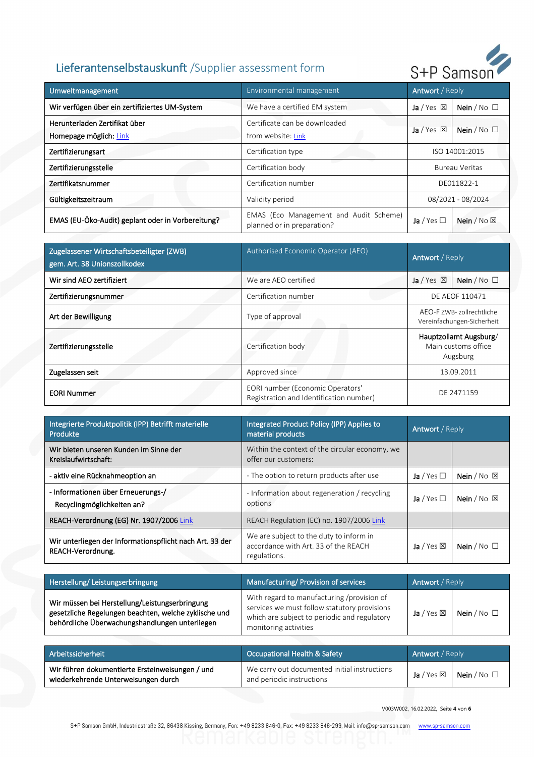

| Umweltmanagement                                        | Environmental management                                             | Antwort / Reply                             |                       |
|---------------------------------------------------------|----------------------------------------------------------------------|---------------------------------------------|-----------------------|
| Wir verfügen über ein zertifiziertes UM-System          | We have a certified EM system                                        | Ja / Yes $\boxtimes$                        | Nein / $No$ $\square$ |
| Herunterladen Zertifikat über<br>Homepage möglich: Link | Certificate can be downloaded<br>from website: Link                  | Ja / Yes $\boxtimes$                        | Nein / $No$ $\square$ |
| Zertifizierungsart                                      | Certification type                                                   | ISO 14001:2015                              |                       |
| Zertifizierungsstelle                                   | Certification body                                                   | <b>Bureau Veritas</b>                       |                       |
| Zertifikatsnummer                                       | Certification number                                                 | DE011822-1                                  |                       |
| Gültigkeitszeitraum                                     | Validity period                                                      | 08/2021 - 08/2024                           |                       |
| EMAS (EU-Öko-Audit) geplant oder in Vorbereitung?       | EMAS (Eco Management and Audit Scheme)<br>planned or in preparation? | Nein / $No \boxtimes$<br>Ja / Yes $\square$ |                       |

| Zugelassener Wirtschaftsbeteiligter (ZWB)<br>gem. Art. 38 Unionszollkodex | Authorised Economic Operator (AEO)                                          | Antwort / Reply                                           |  |
|---------------------------------------------------------------------------|-----------------------------------------------------------------------------|-----------------------------------------------------------|--|
| Wir sind AEO zertifiziert                                                 | We are AEO certified                                                        | Nein / $No$ $\square$<br>Ja / Yes $\boxtimes$             |  |
| Zertifizierungsnummer                                                     | Certification number                                                        | DE AEOF 110471                                            |  |
| Art der Bewilligung                                                       | Type of approval                                                            | AEO-F ZWB- zollrechtliche<br>Vereinfachungen-Sicherheit   |  |
| Zertifizierungsstelle                                                     | Certification body                                                          | Hauptzollamt Augsburg/<br>Main customs office<br>Augsburg |  |
| Zugelassen seit                                                           | Approved since                                                              | 13.09.2011                                                |  |
| <b>EORI Nummer</b>                                                        | EORI number (Economic Operators'<br>Registration and Identification number) | DE 2471159                                                |  |

| Integrierte Produktpolitik (IPP) Betrifft materielle<br><b>Produkte</b>       | Integrated Product Policy (IPP) Applies to<br><b>Antwort</b> / Reply<br>material products       |                      |                              |
|-------------------------------------------------------------------------------|-------------------------------------------------------------------------------------------------|----------------------|------------------------------|
| Wir bieten unseren Kunden im Sinne der<br>Kreislaufwirtschaft:                | Within the context of the circular economy, we<br>offer our customers:                          |                      |                              |
| - aktiv eine Rücknahmeoption an                                               | - The option to return products after use                                                       | Ja / Yes $\Box$      | Nein / $No \times$           |
| - Informationen über Erneuerungs-/<br>Recyclingmöglichkeiten an?              | - Information about regeneration / recycling<br>options                                         | Ja / Yes $\Box$      | <b>Nein</b> / No $\boxtimes$ |
| REACH-Verordnung (EG) Nr. 1907/2006 Link                                      | REACH Regulation (EC) no. 1907/2006 Link                                                        |                      |                              |
| Wir unterliegen der Informationspflicht nach Art. 33 der<br>REACH-Verordnung. | We are subject to the duty to inform in<br>accordance with Art. 33 of the REACH<br>regulations. | Ja / Yes $\boxtimes$ | Nein / $No$ $\square$        |

| Herstellung/Leistungserbringung                                                                                                                           | Manufacturing/ Provision of services                                                                                                                                | Antwort / Reply             |                    |
|-----------------------------------------------------------------------------------------------------------------------------------------------------------|---------------------------------------------------------------------------------------------------------------------------------------------------------------------|-----------------------------|--------------------|
| Wir müssen bei Herstellung/Leistungserbringung<br>gesetzliche Regelungen beachten, welche zyklische und<br>behördliche Überwachungshandlungen unterliegen | With regard to manufacturing /provision of<br>services we must follow statutory provisions<br>which are subject to periodic and regulatory<br>monitoring activities | <b>Ja</b> / Yes $\boxtimes$ | Nein / $No$ $\Box$ |

| Arbeitssicherheit                                                                      | <b>Occupational Health &amp; Safety</b>                                   | <b>Antwort</b> / Reply |                                                       |
|----------------------------------------------------------------------------------------|---------------------------------------------------------------------------|------------------------|-------------------------------------------------------|
| Wir führen dokumentierte Ersteinweisungen / und<br>wiederkehrende Unterweisungen durch | We carry out documented initial instructions<br>and periodic instructions |                        | <b>Ja</b> / Yes $\boxtimes$   <b>Nein</b> / No $\Box$ |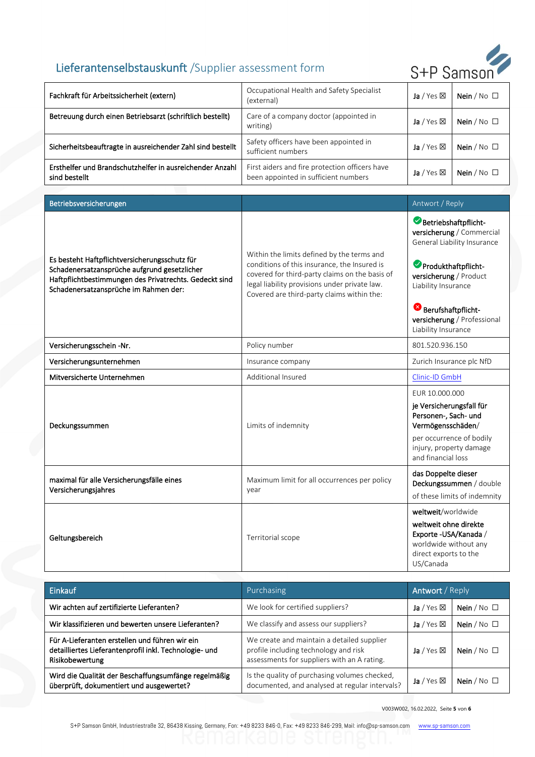

| Fachkraft für Arbeitssicherheit (extern)                                                                                                                                                         | Occupational Health and Safety Specialist<br>(external)                                                                                                                                                                                     | Ja / Yes $\boxtimes$                                                                                                                     | Nein / No $\Box$                                         |
|--------------------------------------------------------------------------------------------------------------------------------------------------------------------------------------------------|---------------------------------------------------------------------------------------------------------------------------------------------------------------------------------------------------------------------------------------------|------------------------------------------------------------------------------------------------------------------------------------------|----------------------------------------------------------|
| Betreuung durch einen Betriebsarzt (schriftlich bestellt)                                                                                                                                        | Care of a company doctor (appointed in<br>writing)                                                                                                                                                                                          | Ja / Yes $\boxtimes$                                                                                                                     | Nein / $No$ $\square$                                    |
| Sicherheitsbeauftragte in ausreichender Zahl sind bestellt                                                                                                                                       | Safety officers have been appointed in<br>sufficient numbers                                                                                                                                                                                | Ja / Yes $\boxtimes$                                                                                                                     | Nein / $No$ $\square$                                    |
| Ersthelfer und Brandschutzhelfer in ausreichender Anzahl<br>sind bestellt                                                                                                                        | First aiders and fire protection officers have<br>been appointed in sufficient numbers                                                                                                                                                      | Ja / Yes $\boxtimes$                                                                                                                     | Nein / $No$ $\square$                                    |
|                                                                                                                                                                                                  |                                                                                                                                                                                                                                             |                                                                                                                                          |                                                          |
| Betriebsversicherungen                                                                                                                                                                           |                                                                                                                                                                                                                                             | Antwort / Reply                                                                                                                          |                                                          |
| Es besteht Haftpflichtversicherungsschutz für<br>Schadenersatzansprüche aufgrund gesetzlicher<br>Haftpflichtbestimmungen des Privatrechts. Gedeckt sind<br>Schadenersatzansprüche im Rahmen der: | Within the limits defined by the terms and<br>conditions of this insurance, the Insured is<br>covered for third-party claims on the basis of<br>legal liability provisions under private law.<br>Covered are third-party claims within the: | Betriebshaftpflicht-<br>Produkthaftpflicht-<br>versicherung / Product<br>Liability Insurance                                             | versicherung / Commercial<br>General Liability Insurance |
|                                                                                                                                                                                                  |                                                                                                                                                                                                                                             | Berufshaftpflicht-<br>Liability Insurance                                                                                                | versicherung / Professional                              |
| Versicherungsschein -Nr.                                                                                                                                                                         | Policy number                                                                                                                                                                                                                               | 801.520.936.150                                                                                                                          |                                                          |
| Versicherungsunternehmen                                                                                                                                                                         | Insurance company                                                                                                                                                                                                                           | Zurich Insurance plc NfD                                                                                                                 |                                                          |
| Mitversicherte Unternehmen                                                                                                                                                                       | Additional Insured                                                                                                                                                                                                                          | Clinic-ID GmbH                                                                                                                           |                                                          |
| Deckungssummen                                                                                                                                                                                   | Limits of indemnity                                                                                                                                                                                                                         | EUR 10.000.000<br>je Versicherungsfall für<br>Personen-, Sach- und<br>Vermögensschäden/<br>injury, property damage<br>and financial loss | per occurrence of bodily                                 |
| maximal für alle Versicherungsfälle eines<br>Versicherungsjahres                                                                                                                                 | Maximum limit for all occurrences per policy<br>year                                                                                                                                                                                        | das Doppelte dieser<br>Deckungssummen / double<br>of these limits of indemnity                                                           |                                                          |
| Geltungsbereich                                                                                                                                                                                  | Territorial scope                                                                                                                                                                                                                           | weltweit/worldwide<br>weltweit ohne direkte<br>Exporte - USA/Kanada /<br>worldwide without any<br>direct exports to the<br>US/Canada     |                                                          |

| Einkauf                                                                                                                     | Purchasing                                                                                                                         | <b>Antwort</b> / Reply      |                       |
|-----------------------------------------------------------------------------------------------------------------------------|------------------------------------------------------------------------------------------------------------------------------------|-----------------------------|-----------------------|
| Wir achten auf zertifizierte Lieferanten?                                                                                   | We look for certified suppliers?                                                                                                   | <b>Ja</b> / Yes $\boxtimes$ | Nein / $No$ $\square$ |
| Wir klassifizieren und bewerten unsere Lieferanten?                                                                         | We classify and assess our suppliers?                                                                                              | <b>Ja</b> / Yes $\boxtimes$ | Nein / $No$ $\square$ |
| Für A-Lieferanten erstellen und führen wir ein<br>detailliertes Lieferantenprofil inkl. Technologie- und<br>Risikobewertung | We create and maintain a detailed supplier<br>profile including technology and risk<br>assessments for suppliers with an A rating. | <b>Ja</b> / Yes $\boxtimes$ | Nein / $No$ $\square$ |
| Wird die Qualität der Beschaffungsumfänge regelmäßig<br>überprüft, dokumentiert und ausgewertet?                            | Is the quality of purchasing volumes checked,<br>documented, and analysed at regular intervals?                                    | <b>Ja</b> / Yes $\boxtimes$ | Nein / $No$ $\square$ |

V003W002, 16.02.2022, Seite **5** von **6**